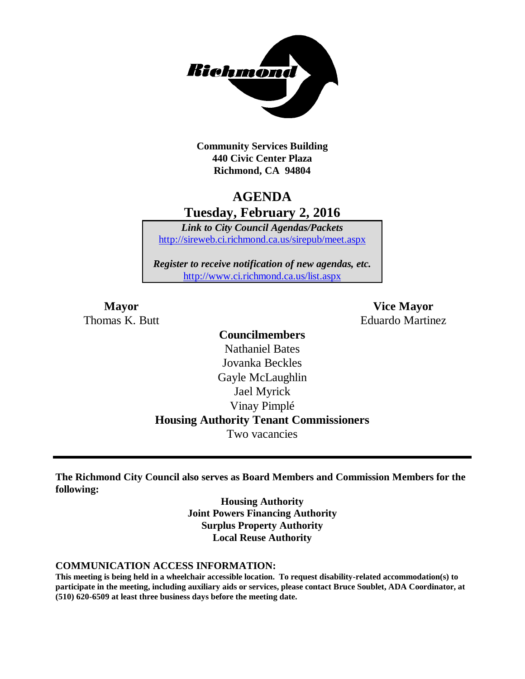

**Community Services Building 440 Civic Center Plaza Richmond, CA 94804**

# **AGENDA Tuesday, February 2, 2016**

*Link to City Council Agendas/Packets* <http://sireweb.ci.richmond.ca.us/sirepub/meet.aspx>

*Register to receive notification of new agendas, etc.* <http://www.ci.richmond.ca.us/list.aspx>

**Mayor Vice Mayor** Thomas K. Butt Eduardo Martinez

# **Councilmembers** Nathaniel Bates Jovanka Beckles Gayle McLaughlin Jael Myrick Vinay Pimplé **Housing Authority Tenant Commissioners** Two vacancies

**The Richmond City Council also serves as Board Members and Commission Members for the following:**

> **Housing Authority Joint Powers Financing Authority Surplus Property Authority Local Reuse Authority**

#### **COMMUNICATION ACCESS INFORMATION:**

**This meeting is being held in a wheelchair accessible location. To request disability-related accommodation(s) to participate in the meeting, including auxiliary aids or services, please contact Bruce Soublet, ADA Coordinator, at (510) 620-6509 at least three business days before the meeting date.**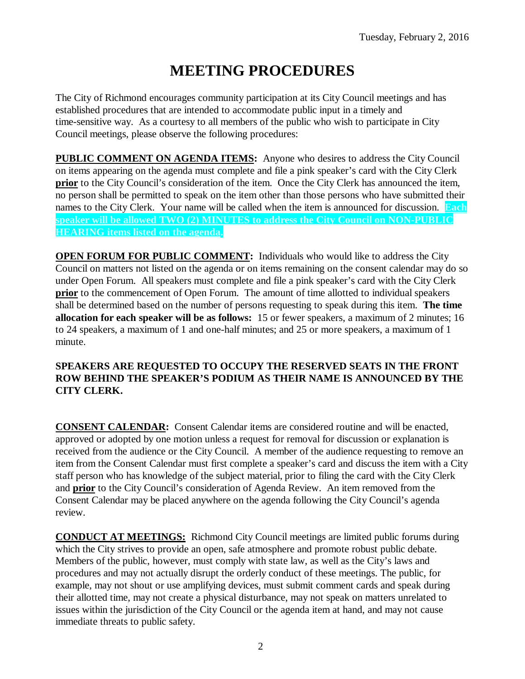# **MEETING PROCEDURES**

The City of Richmond encourages community participation at its City Council meetings and has established procedures that are intended to accommodate public input in a timely and time-sensitive way. As a courtesy to all members of the public who wish to participate in City Council meetings, please observe the following procedures:

**PUBLIC COMMENT ON AGENDA ITEMS:** Anyone who desires to address the City Council on items appearing on the agenda must complete and file a pink speaker's card with the City Clerk **prior** to the City Council's consideration of the item. Once the City Clerk has announced the item, no person shall be permitted to speak on the item other than those persons who have submitted their names to the City Clerk. Your name will be called when the item is announced for discussion. **Each speaker will be allowed TWO (2) MINUTES to address the City Council on NON-PUBLIC HEARING items listed on the agenda.**

**OPEN FORUM FOR PUBLIC COMMENT:** Individuals who would like to address the City Council on matters not listed on the agenda or on items remaining on the consent calendar may do so under Open Forum. All speakers must complete and file a pink speaker's card with the City Clerk **prior** to the commencement of Open Forum. The amount of time allotted to individual speakers shall be determined based on the number of persons requesting to speak during this item. **The time allocation for each speaker will be as follows:** 15 or fewer speakers, a maximum of 2 minutes; 16 to 24 speakers, a maximum of 1 and one-half minutes; and 25 or more speakers, a maximum of 1 minute.

### **SPEAKERS ARE REQUESTED TO OCCUPY THE RESERVED SEATS IN THE FRONT ROW BEHIND THE SPEAKER'S PODIUM AS THEIR NAME IS ANNOUNCED BY THE CITY CLERK.**

**CONSENT CALENDAR:** Consent Calendar items are considered routine and will be enacted, approved or adopted by one motion unless a request for removal for discussion or explanation is received from the audience or the City Council. A member of the audience requesting to remove an item from the Consent Calendar must first complete a speaker's card and discuss the item with a City staff person who has knowledge of the subject material, prior to filing the card with the City Clerk and **prior** to the City Council's consideration of Agenda Review. An item removed from the Consent Calendar may be placed anywhere on the agenda following the City Council's agenda review.

**CONDUCT AT MEETINGS:** Richmond City Council meetings are limited public forums during which the City strives to provide an open, safe atmosphere and promote robust public debate. Members of the public, however, must comply with state law, as well as the City's laws and procedures and may not actually disrupt the orderly conduct of these meetings. The public, for example, may not shout or use amplifying devices, must submit comment cards and speak during their allotted time, may not create a physical disturbance, may not speak on matters unrelated to issues within the jurisdiction of the City Council or the agenda item at hand, and may not cause immediate threats to public safety.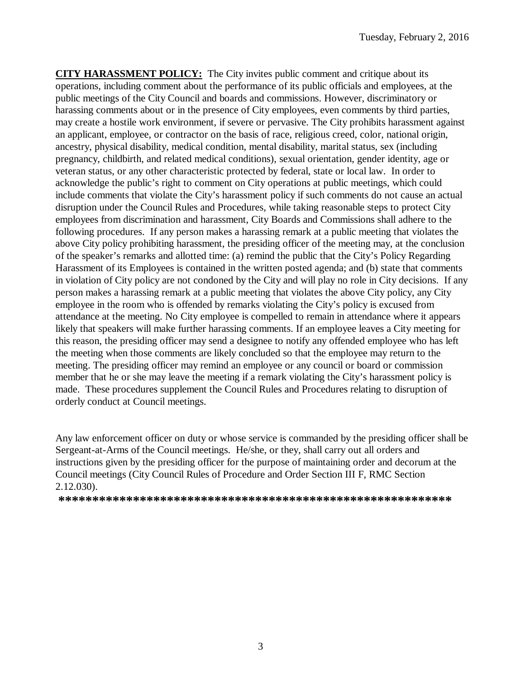**CITY HARASSMENT POLICY:** The City invites public comment and critique about its operations, including comment about the performance of its public officials and employees, at the public meetings of the City Council and boards and commissions. However, discriminatory or harassing comments about or in the presence of City employees, even comments by third parties, may create a hostile work environment, if severe or pervasive. The City prohibits harassment against an applicant, employee, or contractor on the basis of race, religious creed, color, national origin, ancestry, physical disability, medical condition, mental disability, marital status, sex (including pregnancy, childbirth, and related medical conditions), sexual orientation, gender identity, age or veteran status, or any other characteristic protected by federal, state or local law. In order to acknowledge the public's right to comment on City operations at public meetings, which could include comments that violate the City's harassment policy if such comments do not cause an actual disruption under the Council Rules and Procedures, while taking reasonable steps to protect City employees from discrimination and harassment, City Boards and Commissions shall adhere to the following procedures. If any person makes a harassing remark at a public meeting that violates the above City policy prohibiting harassment, the presiding officer of the meeting may, at the conclusion of the speaker's remarks and allotted time: (a) remind the public that the City's Policy Regarding Harassment of its Employees is contained in the written posted agenda; and (b) state that comments in violation of City policy are not condoned by the City and will play no role in City decisions. If any person makes a harassing remark at a public meeting that violates the above City policy, any City employee in the room who is offended by remarks violating the City's policy is excused from attendance at the meeting. No City employee is compelled to remain in attendance where it appears likely that speakers will make further harassing comments. If an employee leaves a City meeting for this reason, the presiding officer may send a designee to notify any offended employee who has left the meeting when those comments are likely concluded so that the employee may return to the meeting. The presiding officer may remind an employee or any council or board or commission member that he or she may leave the meeting if a remark violating the City's harassment policy is made. These procedures supplement the Council Rules and Procedures relating to disruption of orderly conduct at Council meetings.

Any law enforcement officer on duty or whose service is commanded by the presiding officer shall be Sergeant-at-Arms of the Council meetings. He/she, or they, shall carry out all orders and instructions given by the presiding officer for the purpose of maintaining order and decorum at the Council meetings (City Council Rules of Procedure and Order Section III F, RMC Section 2.12.030).

**\*\*\*\*\*\*\*\*\*\*\*\*\*\*\*\*\*\*\*\*\*\*\*\*\*\*\*\*\*\*\*\*\*\*\*\*\*\*\*\*\*\*\*\*\*\*\*\*\*\*\*\*\*\*\*\*\*\***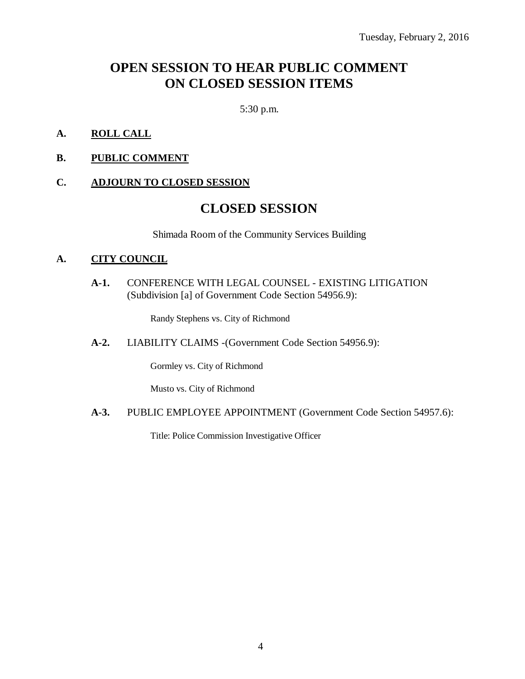# **OPEN SESSION TO HEAR PUBLIC COMMENT ON CLOSED SESSION ITEMS**

5:30 p.m.

- **A. ROLL CALL**
- **B. PUBLIC COMMENT**

#### **C. ADJOURN TO CLOSED SESSION**

# **CLOSED SESSION**

Shimada Room of the Community Services Building

#### **A. CITY COUNCIL**

**A-1.** CONFERENCE WITH LEGAL COUNSEL - EXISTING LITIGATION (Subdivision [a] of Government Code Section 54956.9):

Randy Stephens vs. City of Richmond

**A-2.** LIABILITY CLAIMS -(Government Code Section 54956.9):

Gormley vs. City of Richmond

Musto vs. City of Richmond

**A-3.** PUBLIC EMPLOYEE APPOINTMENT (Government Code Section 54957.6):

Title: Police Commission Investigative Officer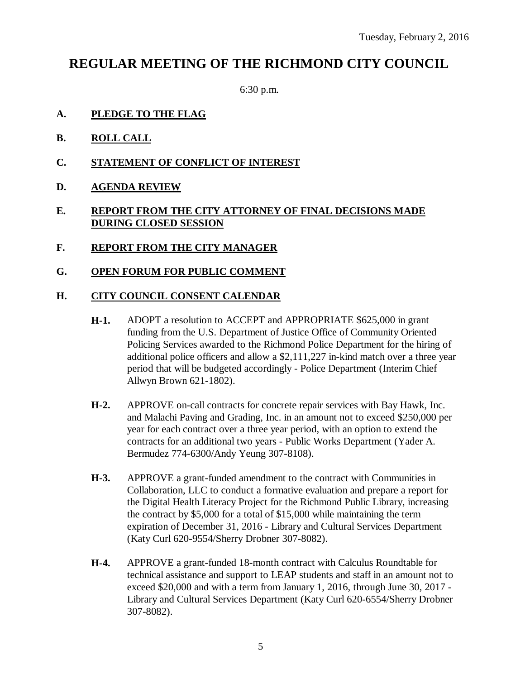# **REGULAR MEETING OF THE RICHMOND CITY COUNCIL**

6:30 p.m.

- **A. PLEDGE TO THE FLAG**
- **B. ROLL CALL**
- **C. STATEMENT OF CONFLICT OF INTEREST**
- **D. AGENDA REVIEW**

### **E. REPORT FROM THE CITY ATTORNEY OF FINAL DECISIONS MADE DURING CLOSED SESSION**

- **F. REPORT FROM THE CITY MANAGER**
- **G. OPEN FORUM FOR PUBLIC COMMENT**

### **H. CITY COUNCIL CONSENT CALENDAR**

- **H-1.** ADOPT a resolution to ACCEPT and APPROPRIATE \$625,000 in grant funding from the U.S. Department of Justice Office of Community Oriented Policing Services awarded to the Richmond Police Department for the hiring of additional police officers and allow a \$2,111,227 in-kind match over a three year period that will be budgeted accordingly - Police Department (Interim Chief Allwyn Brown 621-1802).
- **H-2.** APPROVE on-call contracts for concrete repair services with Bay Hawk, Inc. and Malachi Paving and Grading, Inc. in an amount not to exceed \$250,000 per year for each contract over a three year period, with an option to extend the contracts for an additional two years - Public Works Department (Yader A. Bermudez 774-6300/Andy Yeung 307-8108).
- **H-3.** APPROVE a grant-funded amendment to the contract with Communities in Collaboration, LLC to conduct a formative evaluation and prepare a report for the Digital Health Literacy Project for the Richmond Public Library, increasing the contract by \$5,000 for a total of \$15,000 while maintaining the term expiration of December 31, 2016 - Library and Cultural Services Department (Katy Curl 620-9554/Sherry Drobner 307-8082).
- **H-4.** APPROVE a grant-funded 18-month contract with Calculus Roundtable for technical assistance and support to LEAP students and staff in an amount not to exceed \$20,000 and with a term from January 1, 2016, through June 30, 2017 - Library and Cultural Services Department (Katy Curl 620-6554/Sherry Drobner 307-8082).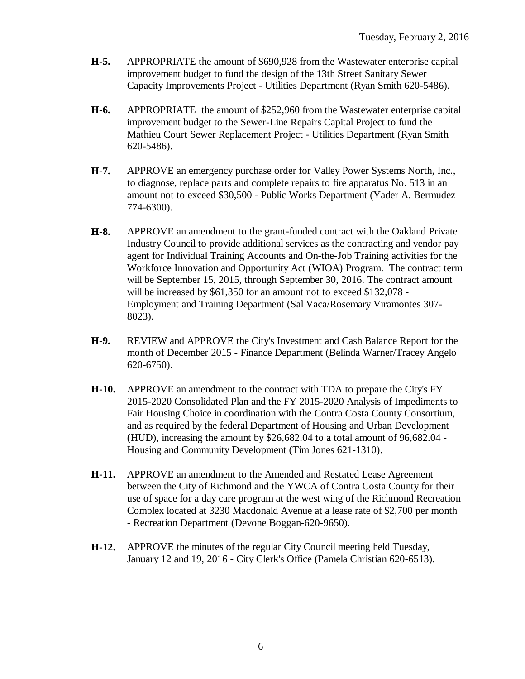- **H-5.** APPROPRIATE the amount of \$690,928 from the Wastewater enterprise capital improvement budget to fund the design of the 13th Street Sanitary Sewer Capacity Improvements Project - Utilities Department (Ryan Smith 620-5486).
- **H-6.** APPROPRIATE the amount of \$252,960 from the Wastewater enterprise capital improvement budget to the Sewer-Line Repairs Capital Project to fund the Mathieu Court Sewer Replacement Project - Utilities Department (Ryan Smith 620-5486).
- **H-7.** APPROVE an emergency purchase order for Valley Power Systems North, Inc., to diagnose, replace parts and complete repairs to fire apparatus No. 513 in an amount not to exceed \$30,500 - Public Works Department (Yader A. Bermudez 774-6300).
- **H-8.** APPROVE an amendment to the grant-funded contract with the Oakland Private Industry Council to provide additional services as the contracting and vendor pay agent for Individual Training Accounts and On-the-Job Training activities for the Workforce Innovation and Opportunity Act (WIOA) Program. The contract term will be September 15, 2015, through September 30, 2016. The contract amount will be increased by \$61,350 for an amount not to exceed \$132,078 -Employment and Training Department (Sal Vaca/Rosemary Viramontes 307- 8023).
- **H-9.** REVIEW and APPROVE the City's Investment and Cash Balance Report for the month of December 2015 - Finance Department (Belinda Warner/Tracey Angelo 620-6750).
- **H-10.** APPROVE an amendment to the contract with TDA to prepare the City's FY 2015-2020 Consolidated Plan and the FY 2015-2020 Analysis of Impediments to Fair Housing Choice in coordination with the Contra Costa County Consortium, and as required by the federal Department of Housing and Urban Development (HUD), increasing the amount by \$26,682.04 to a total amount of 96,682.04 - Housing and Community Development (Tim Jones 621-1310).
- **H-11.** APPROVE an amendment to the Amended and Restated Lease Agreement between the City of Richmond and the YWCA of Contra Costa County for their use of space for a day care program at the west wing of the Richmond Recreation Complex located at 3230 Macdonald Avenue at a lease rate of \$2,700 per month - Recreation Department (Devone Boggan-620-9650).
- **H-12.** APPROVE the minutes of the regular City Council meeting held Tuesday, January 12 and 19, 2016 - City Clerk's Office (Pamela Christian 620-6513).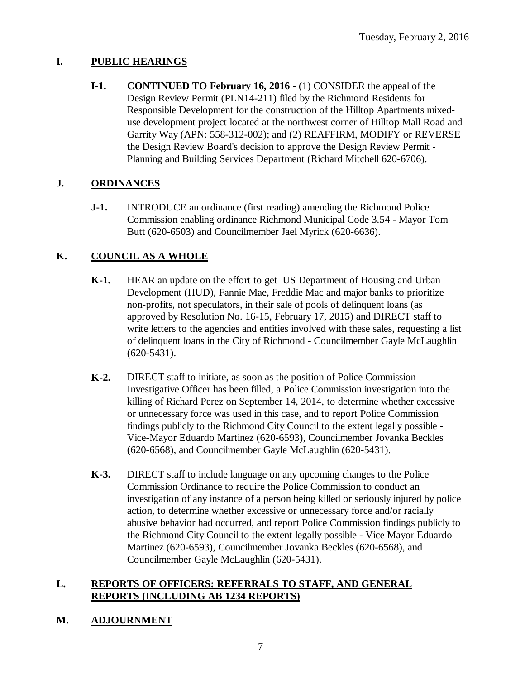# **I. PUBLIC HEARINGS**

**I-1. CONTINUED TO February 16, 2016** - (1) CONSIDER the appeal of the Design Review Permit (PLN14-211) filed by the Richmond Residents for Responsible Development for the construction of the Hilltop Apartments mixeduse development project located at the northwest corner of Hilltop Mall Road and Garrity Way (APN: 558-312-002); and (2) REAFFIRM, MODIFY or REVERSE the Design Review Board's decision to approve the Design Review Permit - Planning and Building Services Department (Richard Mitchell 620-6706).

# **J. ORDINANCES**

**J-1.** INTRODUCE an ordinance (first reading) amending the Richmond Police Commission enabling ordinance Richmond Municipal Code 3.54 - Mayor Tom Butt (620-6503) and Councilmember Jael Myrick (620-6636).

# **K. COUNCIL AS A WHOLE**

- **K-1.** HEAR an update on the effort to get US Department of Housing and Urban Development (HUD), Fannie Mae, Freddie Mac and major banks to prioritize non-profits, not speculators, in their sale of pools of delinquent loans (as approved by Resolution No. 16-15, February 17, 2015) and DIRECT staff to write letters to the agencies and entities involved with these sales, requesting a list of delinquent loans in the City of Richmond - Councilmember Gayle McLaughlin (620-5431).
- **K-2.** DIRECT staff to initiate, as soon as the position of Police Commission Investigative Officer has been filled, a Police Commission investigation into the killing of Richard Perez on September 14, 2014, to determine whether excessive or unnecessary force was used in this case, and to report Police Commission findings publicly to the Richmond City Council to the extent legally possible - Vice-Mayor Eduardo Martinez (620-6593), Councilmember Jovanka Beckles (620-6568), and Councilmember Gayle McLaughlin (620-5431).
- **K-3.** DIRECT staff to include language on any upcoming changes to the Police Commission Ordinance to require the Police Commission to conduct an investigation of any instance of a person being killed or seriously injured by police action, to determine whether excessive or unnecessary force and/or racially abusive behavior had occurred, and report Police Commission findings publicly to the Richmond City Council to the extent legally possible - Vice Mayor Eduardo Martinez (620-6593), Councilmember Jovanka Beckles (620-6568), and Councilmember Gayle McLaughlin (620-5431).

# **L. REPORTS OF OFFICERS: REFERRALS TO STAFF, AND GENERAL REPORTS (INCLUDING AB 1234 REPORTS)**

# **M. ADJOURNMENT**